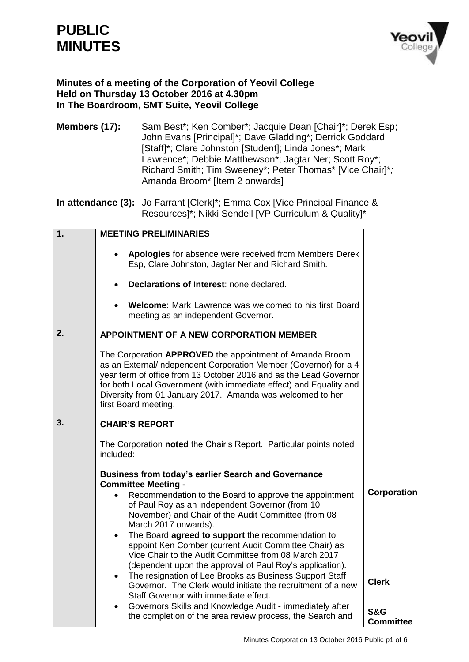# **PUBLIC MINUTES**



## **Minutes of a meeting of the Corporation of Yeovil College Held on Thursday 13 October 2016 at 4.30pm In The Boardroom, SMT Suite, Yeovil College**

**Members (17):** Sam Best\*; Ken Comber\*; Jacquie Dean [Chair]\*; Derek Esp; John Evans [Principal]\*; Dave Gladding\*; Derrick Goddard [Staff]\*; Clare Johnston [Student]; Linda Jones\*; Mark Lawrence\*; Debbie Matthewson\*; Jagtar Ner; Scott Roy\*; Richard Smith; Tim Sweeney\*; Peter Thomas\* [Vice Chair]\**;*  Amanda Broom\* [Item 2 onwards]

**In attendance (3):** Jo Farrant [Clerk]\*; Emma Cox [Vice Principal Finance & Resources]\*; Nikki Sendell [VP Curriculum & Quality]\*

| 1. | <b>MEETING PRELIMINARIES</b>                                                                                                                                                                                                                                                                                                                                                                                                                                                                                                                                                                                                                                                                                                     |                                    |
|----|----------------------------------------------------------------------------------------------------------------------------------------------------------------------------------------------------------------------------------------------------------------------------------------------------------------------------------------------------------------------------------------------------------------------------------------------------------------------------------------------------------------------------------------------------------------------------------------------------------------------------------------------------------------------------------------------------------------------------------|------------------------------------|
|    | Apologies for absence were received from Members Derek<br>$\bullet$<br>Esp, Clare Johnston, Jagtar Ner and Richard Smith.                                                                                                                                                                                                                                                                                                                                                                                                                                                                                                                                                                                                        |                                    |
|    | Declarations of Interest: none declared.                                                                                                                                                                                                                                                                                                                                                                                                                                                                                                                                                                                                                                                                                         |                                    |
|    | Welcome: Mark Lawrence was welcomed to his first Board<br>$\bullet$<br>meeting as an independent Governor.                                                                                                                                                                                                                                                                                                                                                                                                                                                                                                                                                                                                                       |                                    |
| 2. | <b>APPOINTMENT OF A NEW CORPORATION MEMBER</b>                                                                                                                                                                                                                                                                                                                                                                                                                                                                                                                                                                                                                                                                                   |                                    |
|    | The Corporation APPROVED the appointment of Amanda Broom<br>as an External/Independent Corporation Member (Governor) for a 4<br>year term of office from 13 October 2016 and as the Lead Governor<br>for both Local Government (with immediate effect) and Equality and<br>Diversity from 01 January 2017. Amanda was welcomed to her<br>first Board meeting.                                                                                                                                                                                                                                                                                                                                                                    |                                    |
| 3. | <b>CHAIR'S REPORT</b>                                                                                                                                                                                                                                                                                                                                                                                                                                                                                                                                                                                                                                                                                                            |                                    |
|    | The Corporation noted the Chair's Report. Particular points noted<br>included:                                                                                                                                                                                                                                                                                                                                                                                                                                                                                                                                                                                                                                                   |                                    |
|    | <b>Business from today's earlier Search and Governance</b><br><b>Committee Meeting -</b><br>Recommendation to the Board to approve the appointment<br>$\bullet$<br>of Paul Roy as an independent Governor (from 10<br>November) and Chair of the Audit Committee (from 08<br>March 2017 onwards).<br>The Board agreed to support the recommendation to<br>$\bullet$<br>appoint Ken Comber (current Audit Committee Chair) as<br>Vice Chair to the Audit Committee from 08 March 2017<br>(dependent upon the approval of Paul Roy's application).<br>The resignation of Lee Brooks as Business Support Staff<br>$\bullet$<br>Governor. The Clerk would initiate the recruitment of a new<br>Staff Governor with immediate effect. | Corporation<br><b>Clerk</b>        |
|    | Governors Skills and Knowledge Audit - immediately after<br>the completion of the area review process, the Search and                                                                                                                                                                                                                                                                                                                                                                                                                                                                                                                                                                                                            | <b>S&amp;G</b><br><b>Committee</b> |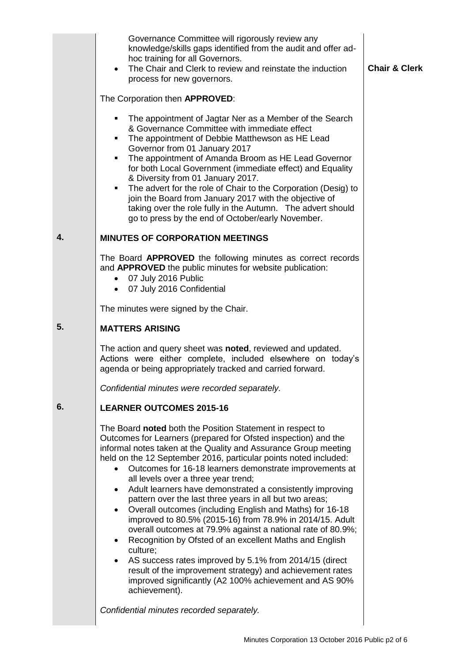|    | Governance Committee will rigorously review any<br>knowledge/skills gaps identified from the audit and offer ad-<br>hoc training for all Governors.<br>The Chair and Clerk to review and reinstate the induction<br>process for new governors.<br>The Corporation then APPROVED:<br>The appointment of Jagtar Ner as a Member of the Search<br>& Governance Committee with immediate effect<br>The appointment of Debbie Matthewson as HE Lead<br>٠<br>Governor from 01 January 2017<br>The appointment of Amanda Broom as HE Lead Governor<br>for both Local Government (immediate effect) and Equality<br>& Diversity from 01 January 2017.<br>The advert for the role of Chair to the Corporation (Desig) to<br>$\blacksquare$<br>join the Board from January 2017 with the objective of<br>taking over the role fully in the Autumn. The advert should<br>go to press by the end of October/early November.                                                                        | <b>Chair &amp; Clerk</b> |
|----|----------------------------------------------------------------------------------------------------------------------------------------------------------------------------------------------------------------------------------------------------------------------------------------------------------------------------------------------------------------------------------------------------------------------------------------------------------------------------------------------------------------------------------------------------------------------------------------------------------------------------------------------------------------------------------------------------------------------------------------------------------------------------------------------------------------------------------------------------------------------------------------------------------------------------------------------------------------------------------------|--------------------------|
| 4. | <b>MINUTES OF CORPORATION MEETINGS</b>                                                                                                                                                                                                                                                                                                                                                                                                                                                                                                                                                                                                                                                                                                                                                                                                                                                                                                                                                 |                          |
|    | The Board APPROVED the following minutes as correct records<br>and APPROVED the public minutes for website publication:<br>07 July 2016 Public<br>07 July 2016 Confidential                                                                                                                                                                                                                                                                                                                                                                                                                                                                                                                                                                                                                                                                                                                                                                                                            |                          |
|    | The minutes were signed by the Chair.                                                                                                                                                                                                                                                                                                                                                                                                                                                                                                                                                                                                                                                                                                                                                                                                                                                                                                                                                  |                          |
| 5. | <b>MATTERS ARISING</b>                                                                                                                                                                                                                                                                                                                                                                                                                                                                                                                                                                                                                                                                                                                                                                                                                                                                                                                                                                 |                          |
|    | The action and query sheet was noted, reviewed and updated.<br>Actions were either complete, included elsewhere on today's<br>agenda or being appropriately tracked and carried forward.                                                                                                                                                                                                                                                                                                                                                                                                                                                                                                                                                                                                                                                                                                                                                                                               |                          |
|    | Confidential minutes were recorded separately.                                                                                                                                                                                                                                                                                                                                                                                                                                                                                                                                                                                                                                                                                                                                                                                                                                                                                                                                         |                          |
| 6. | <b>LEARNER OUTCOMES 2015-16</b>                                                                                                                                                                                                                                                                                                                                                                                                                                                                                                                                                                                                                                                                                                                                                                                                                                                                                                                                                        |                          |
|    | The Board noted both the Position Statement in respect to<br>Outcomes for Learners (prepared for Ofsted inspection) and the<br>informal notes taken at the Quality and Assurance Group meeting<br>held on the 12 September 2016, particular points noted included:<br>Outcomes for 16-18 learners demonstrate improvements at<br>all levels over a three year trend;<br>Adult learners have demonstrated a consistently improving<br>$\bullet$<br>pattern over the last three years in all but two areas;<br>Overall outcomes (including English and Maths) for 16-18<br>improved to 80.5% (2015-16) from 78.9% in 2014/15. Adult<br>overall outcomes at 79.9% against a national rate of 80.9%;<br>Recognition by Ofsted of an excellent Maths and English<br>$\bullet$<br>culture;<br>AS success rates improved by 5.1% from 2014/15 (direct<br>result of the improvement strategy) and achievement rates<br>improved significantly (A2 100% achievement and AS 90%<br>achievement). |                          |
|    | Confidential minutes recorded separately.                                                                                                                                                                                                                                                                                                                                                                                                                                                                                                                                                                                                                                                                                                                                                                                                                                                                                                                                              |                          |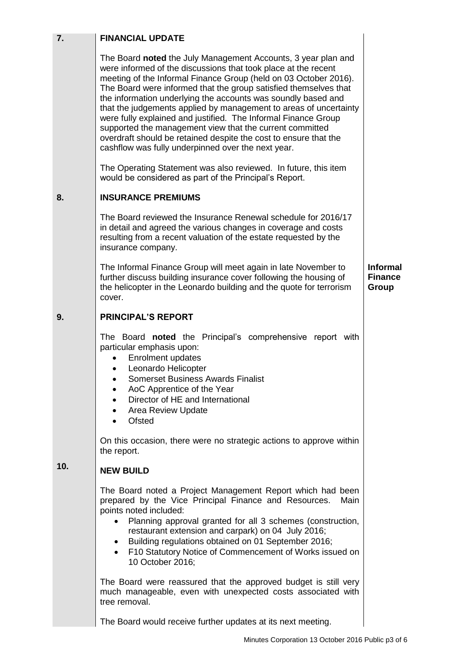| 7.  | <b>FINANCIAL UPDATE</b>                                                                                                                                                                                                                                                                                                                                                                                                                                                                                                                                                                                                                                               |                                            |
|-----|-----------------------------------------------------------------------------------------------------------------------------------------------------------------------------------------------------------------------------------------------------------------------------------------------------------------------------------------------------------------------------------------------------------------------------------------------------------------------------------------------------------------------------------------------------------------------------------------------------------------------------------------------------------------------|--------------------------------------------|
|     | The Board noted the July Management Accounts, 3 year plan and<br>were informed of the discussions that took place at the recent<br>meeting of the Informal Finance Group (held on 03 October 2016).<br>The Board were informed that the group satisfied themselves that<br>the information underlying the accounts was soundly based and<br>that the judgements applied by management to areas of uncertainty<br>were fully explained and justified. The Informal Finance Group<br>supported the management view that the current committed<br>overdraft should be retained despite the cost to ensure that the<br>cashflow was fully underpinned over the next year. |                                            |
|     | The Operating Statement was also reviewed. In future, this item<br>would be considered as part of the Principal's Report.                                                                                                                                                                                                                                                                                                                                                                                                                                                                                                                                             |                                            |
| 8.  | <b>INSURANCE PREMIUMS</b>                                                                                                                                                                                                                                                                                                                                                                                                                                                                                                                                                                                                                                             |                                            |
|     | The Board reviewed the Insurance Renewal schedule for 2016/17<br>in detail and agreed the various changes in coverage and costs<br>resulting from a recent valuation of the estate requested by the<br>insurance company.                                                                                                                                                                                                                                                                                                                                                                                                                                             |                                            |
|     | The Informal Finance Group will meet again in late November to<br>further discuss building insurance cover following the housing of<br>the helicopter in the Leonardo building and the quote for terrorism<br>cover.                                                                                                                                                                                                                                                                                                                                                                                                                                                  | <b>Informal</b><br><b>Finance</b><br>Group |
| 9.  | <b>PRINCIPAL'S REPORT</b>                                                                                                                                                                                                                                                                                                                                                                                                                                                                                                                                                                                                                                             |                                            |
|     | The Board noted the Principal's comprehensive report with<br>particular emphasis upon:<br><b>Enrolment updates</b><br>Leonardo Helicopter<br><b>Somerset Business Awards Finalist</b><br>$\bullet$<br>AoC Apprentice of the Year<br>Director of HE and International<br>Area Review Update<br>Ofsted                                                                                                                                                                                                                                                                                                                                                                  |                                            |
|     | On this occasion, there were no strategic actions to approve within<br>the report.                                                                                                                                                                                                                                                                                                                                                                                                                                                                                                                                                                                    |                                            |
| 10. | <b>NEW BUILD</b>                                                                                                                                                                                                                                                                                                                                                                                                                                                                                                                                                                                                                                                      |                                            |
|     | The Board noted a Project Management Report which had been<br>prepared by the Vice Principal Finance and Resources.<br>Main<br>points noted included:<br>Planning approval granted for all 3 schemes (construction,<br>restaurant extension and carpark) on 04 July 2016;<br>Building regulations obtained on 01 September 2016;<br>F10 Statutory Notice of Commencement of Works issued on<br>10 October 2016;                                                                                                                                                                                                                                                       |                                            |
|     | The Board were reassured that the approved budget is still very<br>much manageable, even with unexpected costs associated with<br>tree removal.                                                                                                                                                                                                                                                                                                                                                                                                                                                                                                                       |                                            |

The Board would receive further updates at its next meeting.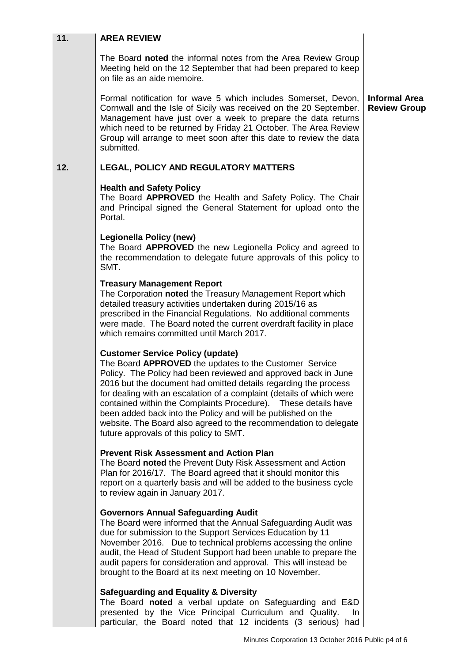| 11. | <b>AREA REVIEW</b>                                                                                                                                                                                                                                                                                                                                                                                                                                                                                                                                              |                                             |
|-----|-----------------------------------------------------------------------------------------------------------------------------------------------------------------------------------------------------------------------------------------------------------------------------------------------------------------------------------------------------------------------------------------------------------------------------------------------------------------------------------------------------------------------------------------------------------------|---------------------------------------------|
|     | The Board noted the informal notes from the Area Review Group<br>Meeting held on the 12 September that had been prepared to keep<br>on file as an aide memoire.                                                                                                                                                                                                                                                                                                                                                                                                 |                                             |
|     | Formal notification for wave 5 which includes Somerset, Devon,<br>Cornwall and the Isle of Sicily was received on the 20 September.<br>Management have just over a week to prepare the data returns<br>which need to be returned by Friday 21 October. The Area Review<br>Group will arrange to meet soon after this date to review the data<br>submitted.                                                                                                                                                                                                      | <b>Informal Area</b><br><b>Review Group</b> |
| 12. | <b>LEGAL, POLICY AND REGULATORY MATTERS</b>                                                                                                                                                                                                                                                                                                                                                                                                                                                                                                                     |                                             |
|     | <b>Health and Safety Policy</b><br>The Board APPROVED the Health and Safety Policy. The Chair<br>and Principal signed the General Statement for upload onto the<br>Portal.                                                                                                                                                                                                                                                                                                                                                                                      |                                             |
|     | <b>Legionella Policy (new)</b><br>The Board APPROVED the new Legionella Policy and agreed to<br>the recommendation to delegate future approvals of this policy to<br>SMT.                                                                                                                                                                                                                                                                                                                                                                                       |                                             |
|     | <b>Treasury Management Report</b><br>The Corporation noted the Treasury Management Report which<br>detailed treasury activities undertaken during 2015/16 as<br>prescribed in the Financial Regulations. No additional comments<br>were made. The Board noted the current overdraft facility in place<br>which remains committed until March 2017.                                                                                                                                                                                                              |                                             |
|     | <b>Customer Service Policy (update)</b><br>The Board APPROVED the updates to the Customer Service<br>Policy. The Policy had been reviewed and approved back in June<br>2016 but the document had omitted details regarding the process<br>for dealing with an escalation of a complaint (details of which were<br>contained within the Complaints Procedure). These details have<br>been added back into the Policy and will be published on the<br>website. The Board also agreed to the recommendation to delegate<br>future approvals of this policy to SMT. |                                             |
|     | <b>Prevent Risk Assessment and Action Plan</b><br>The Board noted the Prevent Duty Risk Assessment and Action<br>Plan for 2016/17. The Board agreed that it should monitor this<br>report on a quarterly basis and will be added to the business cycle<br>to review again in January 2017.                                                                                                                                                                                                                                                                      |                                             |
|     | <b>Governors Annual Safeguarding Audit</b><br>The Board were informed that the Annual Safeguarding Audit was<br>due for submission to the Support Services Education by 11<br>November 2016. Due to technical problems accessing the online<br>audit, the Head of Student Support had been unable to prepare the<br>audit papers for consideration and approval. This will instead be<br>brought to the Board at its next meeting on 10 November.                                                                                                               |                                             |
|     | <b>Safeguarding and Equality &amp; Diversity</b><br>The Board noted a verbal update on Safeguarding and E&D<br>presented by the Vice Principal Curriculum and Quality.<br>In.<br>particular, the Board noted that 12 incidents (3 serious) had                                                                                                                                                                                                                                                                                                                  |                                             |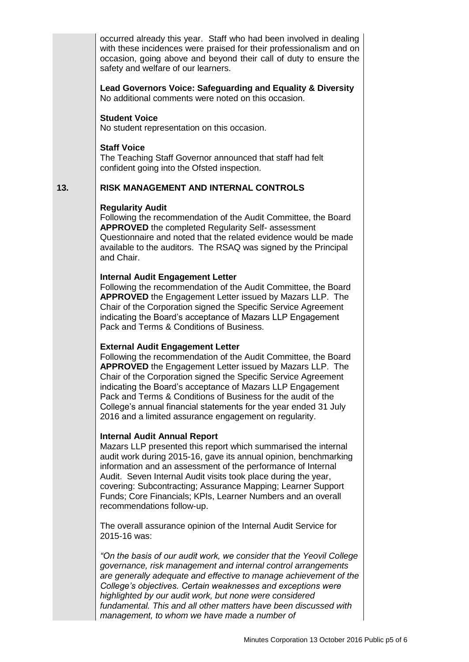occurred already this year. Staff who had been involved in dealing with these incidences were praised for their professionalism and on occasion, going above and beyond their call of duty to ensure the safety and welfare of our learners.

**Lead Governors Voice: Safeguarding and Equality & Diversity** No additional comments were noted on this occasion.

#### **Student Voice**

No student representation on this occasion.

#### **Staff Voice**

The Teaching Staff Governor announced that staff had felt confident going into the Ofsted inspection.

### **13. RISK MANAGEMENT AND INTERNAL CONTROLS**

#### **Regularity Audit**

Following the recommendation of the Audit Committee, the Board **APPROVED** the completed Regularity Self- assessment Questionnaire and noted that the related evidence would be made available to the auditors. The RSAQ was signed by the Principal and Chair.

### **Internal Audit Engagement Letter**

Following the recommendation of the Audit Committee, the Board **APPROVED** the Engagement Letter issued by Mazars LLP. The Chair of the Corporation signed the Specific Service Agreement indicating the Board's acceptance of Mazars LLP Engagement Pack and Terms & Conditions of Business.

#### **External Audit Engagement Letter**

Following the recommendation of the Audit Committee, the Board **APPROVED** the Engagement Letter issued by Mazars LLP. The Chair of the Corporation signed the Specific Service Agreement indicating the Board's acceptance of Mazars LLP Engagement Pack and Terms & Conditions of Business for the audit of the College's annual financial statements for the year ended 31 July 2016 and a limited assurance engagement on regularity.

#### **Internal Audit Annual Report**

Mazars LLP presented this report which summarised the internal audit work during 2015-16, gave its annual opinion, benchmarking information and an assessment of the performance of Internal Audit. Seven Internal Audit visits took place during the year, covering: Subcontracting; Assurance Mapping; Learner Support Funds; Core Financials; KPIs, Learner Numbers and an overall recommendations follow-up.

The overall assurance opinion of the Internal Audit Service for 2015-16 was:

*"On the basis of our audit work, we consider that the Yeovil College governance, risk management and internal control arrangements are generally adequate and effective to manage achievement of the College's objectives. Certain weaknesses and exceptions were highlighted by our audit work, but none were considered fundamental. This and all other matters have been discussed with management, to whom we have made a number of*